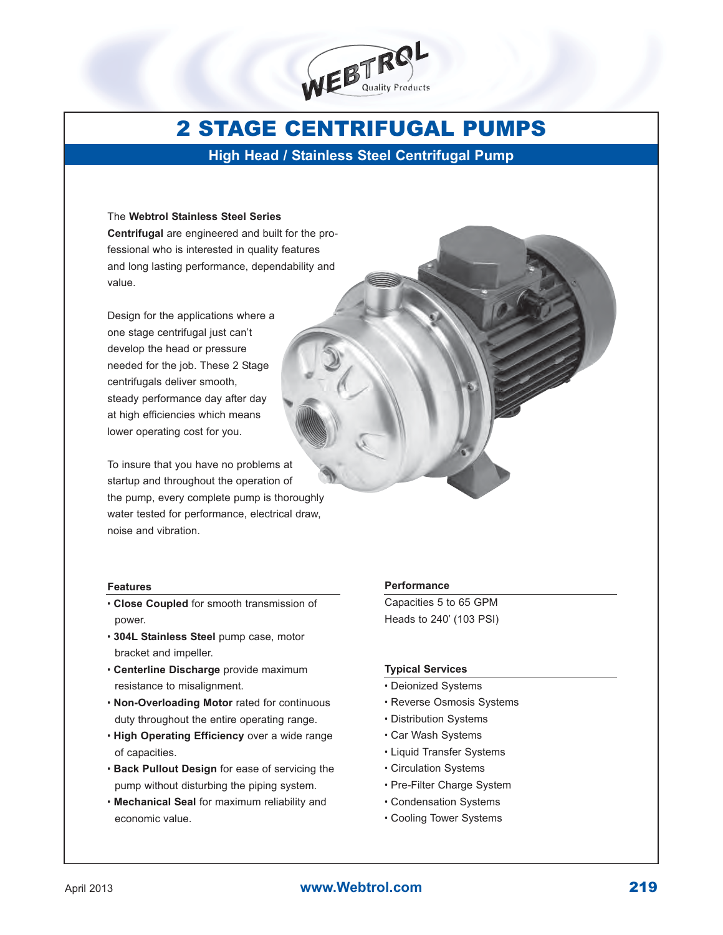

# 2 STAGE CENTRIFUGAL PUMPS

**High Head / Stainless Steel Centrifugal Pump**

#### The **Webtrol Stainless Steel Series**

**Centrifugal** are engineered and built for the professional who is interested in quality features and long lasting performance, dependability and value.

Design for the applications where a one stage centrifugal just can't develop the head or pressure needed for the job. These 2 Stage centrifugals deliver smooth, steady performance day after day at high efficiencies which means lower operating cost for you.

To insure that you have no problems at startup and throughout the operation of the pump, every complete pump is thoroughly water tested for performance, electrical draw, noise and vibration.

#### **Features**

- **Close Coupled** for smooth transmission of power.
- **304L Stainless Steel** pump case, motor bracket and impeller.
- **Centerline Discharge** provide maximum resistance to misalignment.
- **Non-Overloading Motor** rated for continuous duty throughout the entire operating range.
- **High Operating Efficiency** over a wide range of capacities.
- **Back Pullout Design** for ease of servicing the pump without disturbing the piping system.
- **Mechanical Seal** for maximum reliability and economic value.

#### **Performance**

Capacities 5 to 65 GPM Heads to 240' (103 PSI)

#### **Typical Services**

- Deionized Systems
- Reverse Osmosis Systems
- Distribution Systems
- Car Wash Systems
- Liquid Transfer Systems
- Circulation Systems
- Pre-Filter Charge System
- Condensation Systems
- Cooling Tower Systems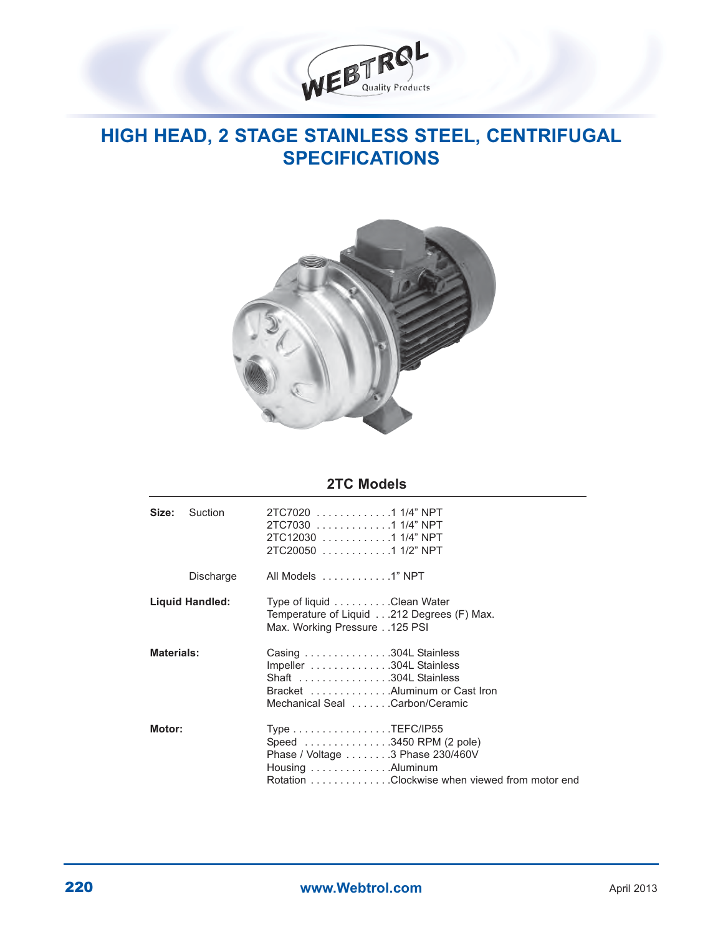

### **HIGH HEAD, 2 STAGE STAINLESS STEEL, CENTRIFUGAL SPECIFICATIONS**



### **2TC Models**

| Size:                  | Suction   | 2TC7020 1 1/4" NPT<br>2TC7030 1 1/4" NPT<br>2TC12030 1 1/4" NPT<br>2TC20050 1 1/2" NPT                                                                                                                                    |  |  |  |  |  |  |  |  |  |
|------------------------|-----------|---------------------------------------------------------------------------------------------------------------------------------------------------------------------------------------------------------------------------|--|--|--|--|--|--|--|--|--|
|                        | Discharge | All Models 1" NPT                                                                                                                                                                                                         |  |  |  |  |  |  |  |  |  |
| <b>Liquid Handled:</b> |           | Type of liquid Clean Water<br>Temperature of Liquid212 Degrees (F) Max.<br>Max. Working Pressure125 PSI                                                                                                                   |  |  |  |  |  |  |  |  |  |
| <b>Materials:</b>      |           | Casing 304L Stainless<br>Impeller 304L Stainless<br>Shaft 304L Stainless<br>Bracket Aluminum or Cast Iron<br>Mechanical Seal Carbon/Ceramic                                                                               |  |  |  |  |  |  |  |  |  |
| Motor:                 |           | Type $\ldots \ldots \ldots \ldots \ldots$ . TEFC/IP55<br>Speed 3450 RPM (2 pole)<br>Phase / Voltage 3 Phase 230/460V<br>Housing $\ldots \ldots \ldots \ldots$ . Aluminum<br>Rotation Clockwise when viewed from motor end |  |  |  |  |  |  |  |  |  |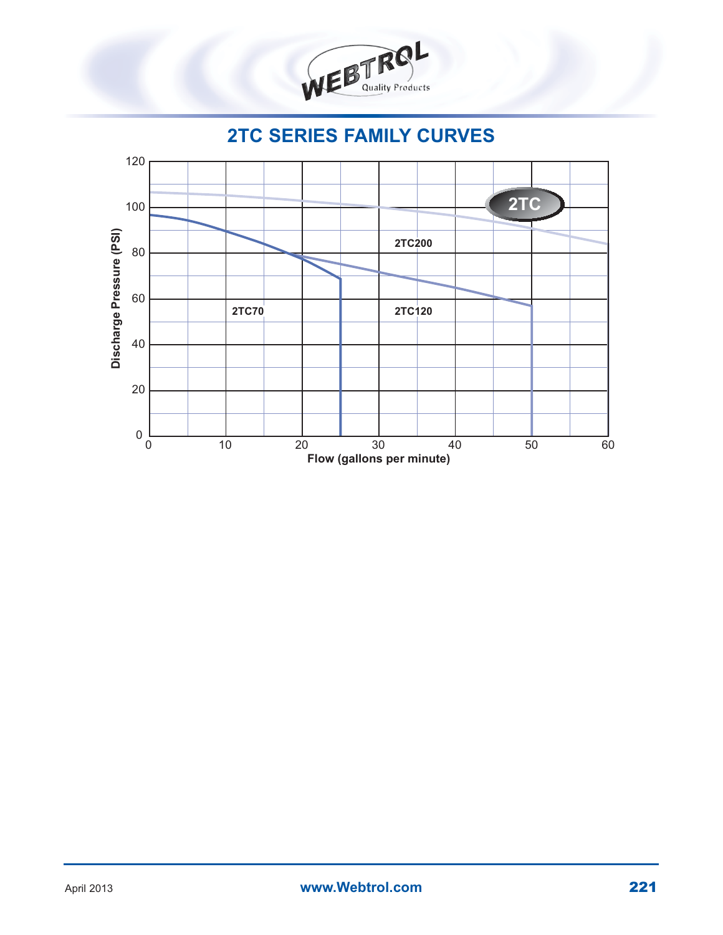

**2TC SERIES FAMILY CURVES**

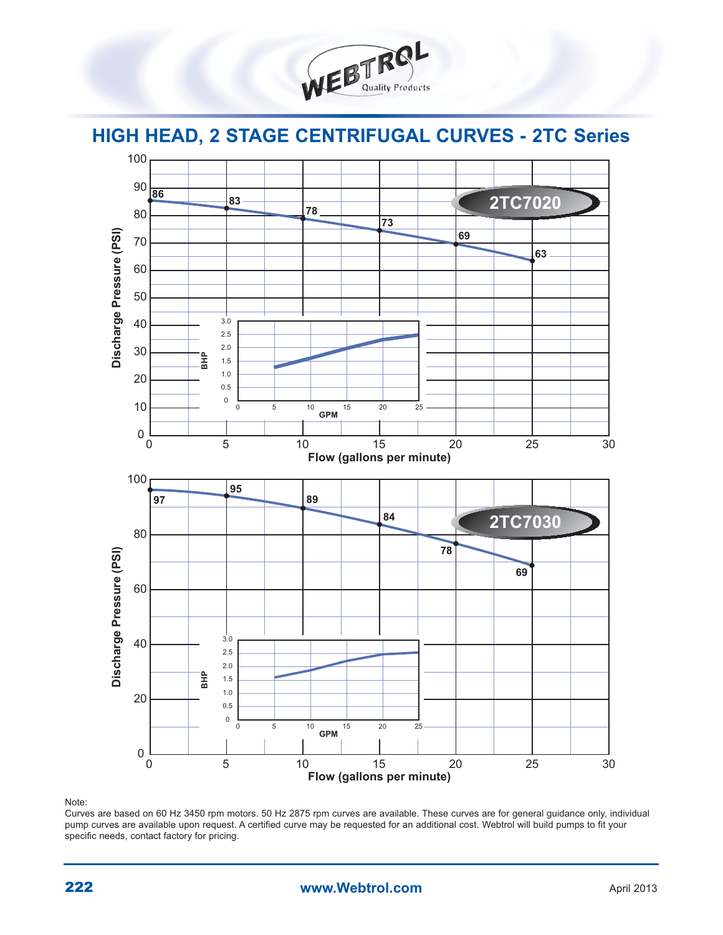

## **HIGH HEAD, 2 STAGE CENTRIFUGAL CURVES - 2TC Series**



Note:

Curves are based on 60 Hz 3450 rpm motors. 50 Hz 2875 rpm curves are available. These curves are for general guidance only, individual pump curves are available upon request. A certified curve may be requested for an additional cost. Webtrol will build pumps to fit your specific needs, contact factory for pricing.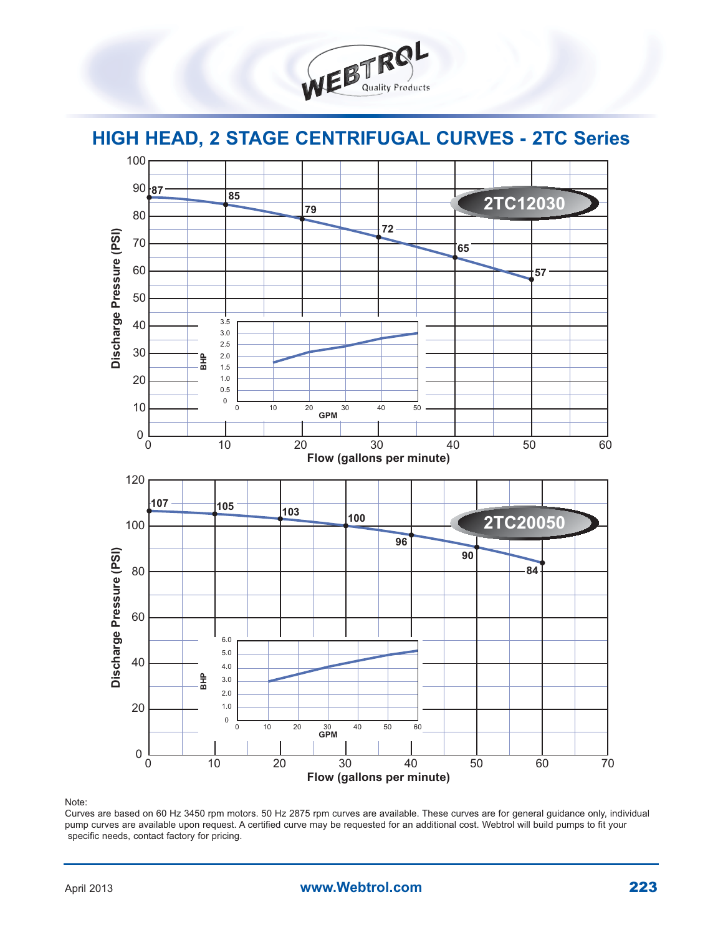



Note:

Curves are based on 60 Hz 3450 rpm motors. 50 Hz 2875 rpm curves are available. These curves are for general guidance only, individual pump curves are available upon request. A certified curve may be requested for an additional cost. Webtrol will build pumps to fit your specific needs, contact factory for pricing.